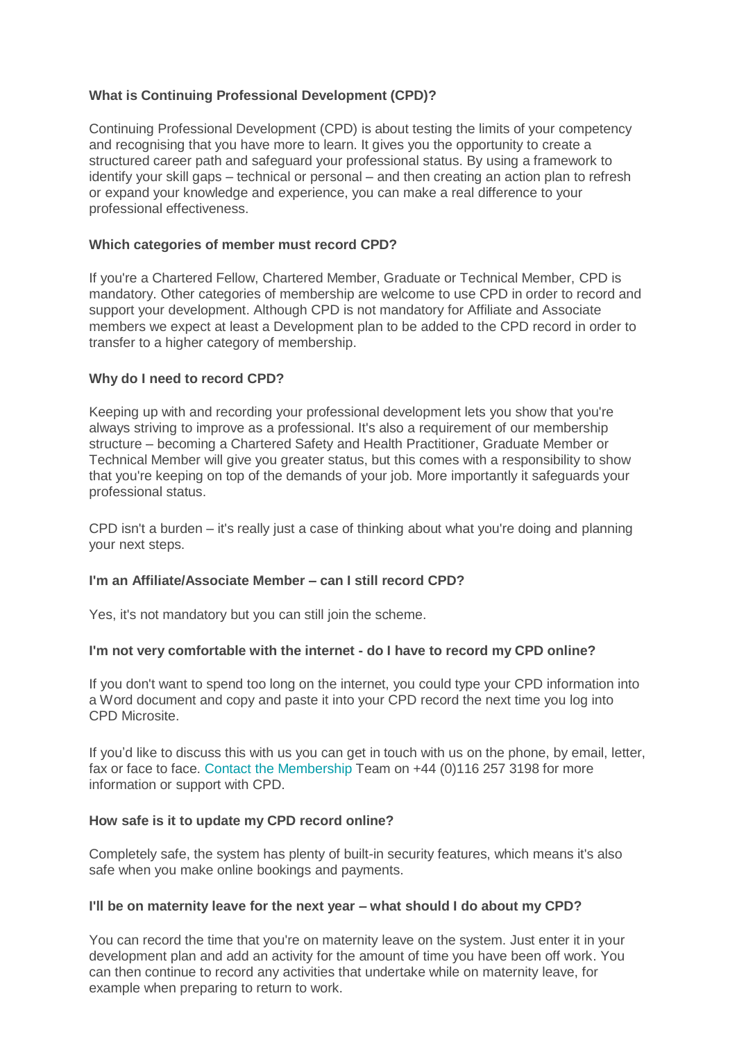# **What is Continuing Professional Development (CPD)?**

Continuing Professional Development (CPD) is about testing the limits of your competency and recognising that you have more to learn. It gives you the opportunity to create a structured career path and safeguard your professional status. By using a framework to identify your skill gaps – technical or personal – and then creating an action plan to refresh or expand your knowledge and experience, you can make a real difference to your professional effectiveness.

## **Which categories of member must record CPD?**

If you're a Chartered Fellow, Chartered Member, Graduate or Technical Member, CPD is mandatory. Other categories of membership are welcome to use CPD in order to record and support your development. Although CPD is not mandatory for Affiliate and Associate members we expect at least a Development plan to be added to the CPD record in order to transfer to a higher category of membership.

### **Why do I need to record CPD?**

Keeping up with and recording your professional development lets you show that you're always striving to improve as a professional. It's also a requirement of our membership structure – becoming a Chartered Safety and Health Practitioner, Graduate Member or Technical Member will give you greater status, but this comes with a responsibility to show that you're keeping on top of the demands of your job. More importantly it safeguards your professional status.

CPD isn't a burden – it's really just a case of thinking about what you're doing and planning your next steps.

### **I'm an Affiliate/Associate Member – can I still record CPD?**

Yes, it's not mandatory but you can still join the scheme.

### **I'm not very comfortable with the internet - do I have to record my CPD online?**

If you don't want to spend too long on the internet, you could type your CPD information into a Word document and copy and paste it into your CPD record the next time you log into CPD Microsite.

If you'd like to discuss this with us you can get in touch with us on the phone, by email, letter, fax or face to face. [Contact the Membership](mailto:cpd@iosh.co.uk) Team on +44 (0)116 257 3198 for more information or support with CPD.

### **How safe is it to update my CPD record online?**

Completely safe, the system has plenty of built-in security features, which means it's also safe when you make online bookings and payments.

### **I'll be on maternity leave for the next year – what should I do about my CPD?**

You can record the time that you're on maternity leave on the system. Just enter it in your development plan and add an activity for the amount of time you have been off work. You can then continue to record any activities that undertake while on maternity leave, for example when preparing to return to work.